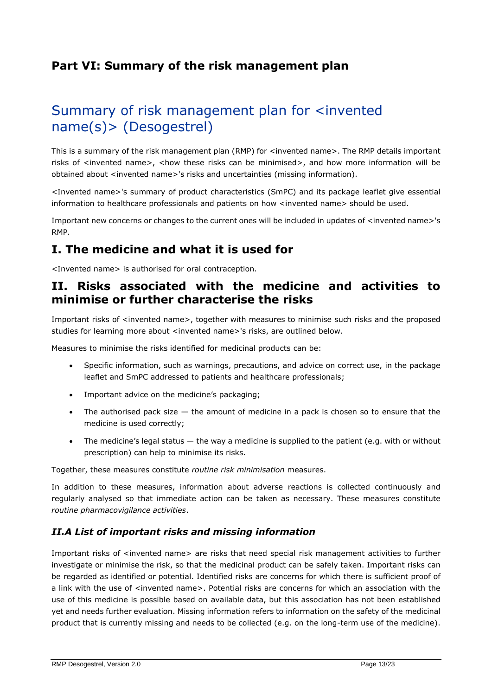## **Part VI: Summary of the risk management plan**

# Summary of risk management plan for <invented name(s)> (Desogestrel)

This is a summary of the risk management plan (RMP) for <invented name>. The RMP details important risks of <invented name>, <how these risks can be minimised>, and how more information will be obtained about <invented name>'s risks and uncertainties (missing information).

<Invented name>'s summary of product characteristics (SmPC) and its package leaflet give essential information to healthcare professionals and patients on how <invented name> should be used.

Important new concerns or changes to the current ones will be included in updates of <invented name>'s RMP.

## **I. The medicine and what it is used for**

<Invented name> is authorised for oral contraception.

## **II. Risks associated with the medicine and activities to minimise or further characterise the risks**

Important risks of <invented name>, together with measures to minimise such risks and the proposed studies for learning more about <invented name>'s risks, are outlined below.

Measures to minimise the risks identified for medicinal products can be:

- Specific information, such as warnings, precautions, and advice on correct use, in the package leaflet and SmPC addressed to patients and healthcare professionals;
- Important advice on the medicine's packaging;
- The authorised pack size  $-$  the amount of medicine in a pack is chosen so to ensure that the medicine is used correctly;
- The medicine's legal status the way a medicine is supplied to the patient (e.g. with or without prescription) can help to minimise its risks.

Together, these measures constitute *routine risk minimisation* measures.

In addition to these measures, information about adverse reactions is collected continuously and regularly analysed so that immediate action can be taken as necessary. These measures constitute *routine pharmacovigilance activities*.

#### *II.A List of important risks and missing information*

Important risks of <invented name> are risks that need special risk management activities to further investigate or minimise the risk, so that the medicinal product can be safely taken. Important risks can be regarded as identified or potential. Identified risks are concerns for which there is sufficient proof of a link with the use of <invented name>. Potential risks are concerns for which an association with the use of this medicine is possible based on available data, but this association has not been established yet and needs further evaluation. Missing information refers to information on the safety of the medicinal product that is currently missing and needs to be collected (e.g. on the long-term use of the medicine).